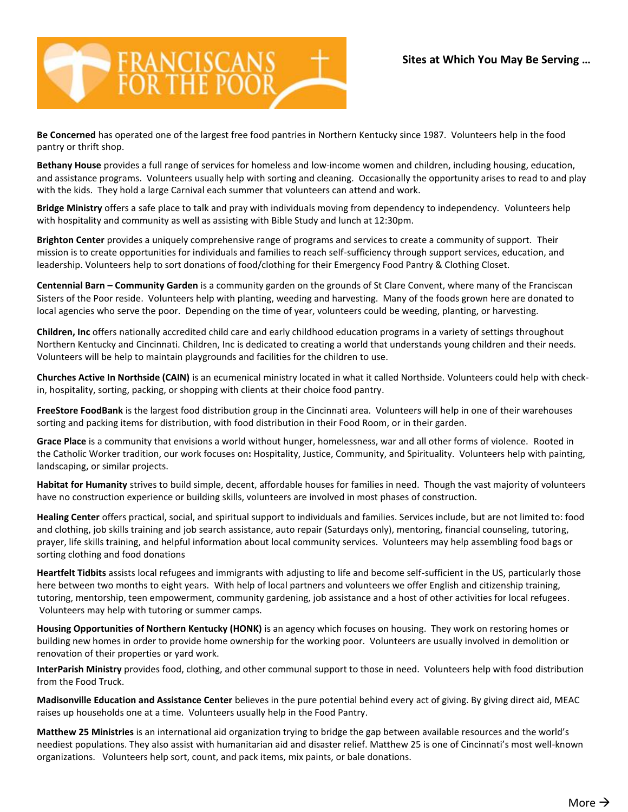

**Be Concerned** has operated one of the largest free food pantries in Northern Kentucky since 1987. Volunteers help in the food pantry or thrift shop.

**Bethany House** provides a full range of services for homeless and low-income women and children, including housing, education, and assistance programs. Volunteers usually help with sorting and cleaning. Occasionally the opportunity arises to read to and play with the kids. They hold a large Carnival each summer that volunteers can attend and work.

**Bridge Ministry** offers a safe place to talk and pray with individuals moving from dependency to independency. Volunteers help with hospitality and community as well as assisting with Bible Study and lunch at 12:30pm.

**Brighton Center** provides a uniquely comprehensive range of programs and services to create a community of support. Their mission is to create opportunities for individuals and families to reach self-sufficiency through support services, education, and leadership. Volunteers help to sort donations of food/clothing for their Emergency Food Pantry & Clothing Closet.

**Centennial Barn – Community Garden** is a community garden on the grounds of St Clare Convent, where many of the Franciscan Sisters of the Poor reside. Volunteers help with planting, weeding and harvesting. Many of the foods grown here are donated to local agencies who serve the poor. Depending on the time of year, volunteers could be weeding, planting, or harvesting.

**Children, Inc** offers [nationally accredited child care](http://www.childreninc.org/child-care-services/) and early childhood education programs in a variety of settings throughout Northern Kentucky and Cincinnati. Children, Inc is dedicated to creating a world that understands young children and their needs. Volunteers will be help to maintain playgrounds and facilities for the children to use.

**Churches Active In Northside (CAIN)** is an ecumenical ministry located in what it called Northside. Volunteers could help with checkin, hospitality, sorting, packing, or shopping with clients at their choice food pantry.

**FreeStore FoodBank** is the largest food distribution group in the Cincinnati area. Volunteers will help in one of their warehouses sorting and packing items for distribution, with food distribution in their Food Room, or in their garden.

**Grace Place** is a community that envisions a world without hunger, homelessness, war and all other forms of violence. Rooted in the Catholic Worker tradition, our work focuses on**:** Hospitality, Justice, Community, and Spirituality. Volunteers help with painting, landscaping, or similar projects.

**Habitat for Humanity** strives to build simple, decent, affordable houses for families in need. Though the vast majority of volunteers have no construction experience or building skills, volunteers are involved in most phases of construction.

**Healing Center** offers practical, social, and spiritual support to individuals and families. Services include, but are not limited to: food and clothing, job skills training and job search assistance, auto repair (Saturdays only), mentoring, financial counseling, tutoring, prayer, life skills training, and helpful information about local community services. Volunteers may help assembling food bags or sorting clothing and food donations

**Heartfelt Tidbits** assists local refugees and immigrants with adjusting to life and become self-sufficient in the US, particularly those here between two months to eight years. With help of local partners and volunteers we offer English and citizenship training, tutoring, mentorship, teen empowerment, community gardening, job assistance and a host of other activities for local refugees. Volunteers may help with tutoring or summer camps.

**Housing Opportunities of Northern Kentucky (HONK)** is an agency which focuses on housing. They work on restoring homes or building new homes in order to provide home ownership for the working poor. Volunteers are usually involved in demolition or renovation of their properties or yard work.

**InterParish Ministry** provides food, clothing, and other communal support to those in need. Volunteers help with food distribution from the Food Truck.

**Madisonville Education and Assistance Center** believes in the pure potential behind every act of giving. By giving direct aid, MEAC raises up households one at a time. Volunteers usually help in the Food Pantry.

**Matthew 25 Ministries** is an international aid organization trying to bridge the gap between available resources and the world's neediest populations. They also assist with humanitarian aid and disaster relief. Matthew 25 is one of Cincinnati's most well-known organizations. Volunteers help sort, count, and pack items, mix paints, or bale donations.